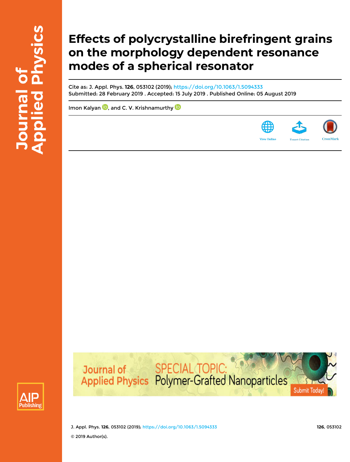# **Effects of polycrystalline birefringent grains on the morphology dependent resonance modes of a spherical resonator**

Cite as: J. Appl. Phys. **126**, 053102 (2019); https://doi.org/10.1063/1.5094333 Submitted: 28 February 2019 . Accepted: 15 July 2019 . Published Online: 05 August 2019

Imon Kalyan  $\mathbf 0$ , and C. V. Krishnamurthy  $\mathbf 0$ 







J. Appl. Phys. **126**, 053102 (2019); https://doi.org/10.1063/1.5094333 **126**, 053102 © 2019 Author(s).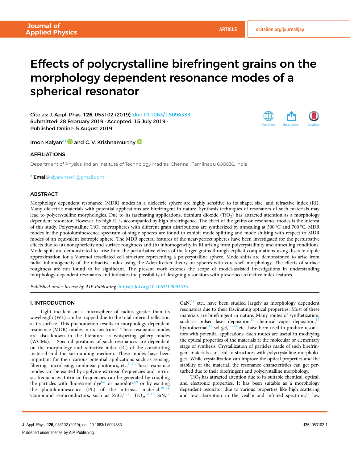# Effects of polycrystalline birefringent grains on the morphology dependent resonance modes of a spherical resonator

Cite as: J. Appl. Phys. 126, 053102 (2019); doi: 10.1063/1.5094333 Submitted: 28 February 2019 · Accepted: 15 July 2019 · Published Online: 5 August 2019



Imon Kalyan<sup>a)</sup> and C. V. Krishnamurthy **O** 

# AFFILIATIONS

Department of Physics, Indian Institute of Technology Madras, Chennai, Tamilnadu 600036, India

a)Email: kalyanimon1@gmail.com

# **ABSTRACT**

Morphology dependent resonance (MDR) modes in a dielectric sphere are highly sensitive to its shape, size, and refractive index (RI). Many dielectric materials with potential applications are birefringent in nature. Synthesis techniques of resonators of such materials may lead to polycrystalline morphologies. Due to its fascinating applications, titanium dioxide (TiO<sub>2</sub>) has attracted attention as a morphology dependent resonator. However, its high RI is accompanied by high birefringence. The effect of the grains on resonance modes is the interest of this study. Polycrystalline TiO<sub>2</sub> microspheres with different grain distributions are synthesized by annealing at 500 °C and 700 °C. MDR modes in the photoluminescence spectrum of single spheres are found to exhibit mode splitting and mode shifting with respect to MDR modes of an equivalent isotropic sphere. The MDR spectral features of the near-perfect spheres have been investigated for the perturbative effects due to (a) nonsphericity and surface roughness and (b) inhomogeneity in RI arising from polycrystallinity and annealing conditions. Mode splits are demonstrated to arise from the perturbative effects of the larger grains through explicit computations using discrete dipole approximation for a Voronoi tessellated cell structure representing a polycrystalline sphere. Mode shifts are demonstrated to arise from radial inhomogeneity of the refractive index using the Aden-Kerker theory on spheres with core-shell morphology. The effects of surface roughness are not found to be significant. The present work extends the scope of model-assisted investigations in understanding morphology dependent resonators and indicates the possibility of designing resonators with prescribed refractive index features.

Published under license by AIP Publishing. https://doi.org/10.1063/1.5094333

## I. INTRODUCTION

Light incident on a microsphere of radius greater than its wavelength (WL) can be trapped due to the total internal reflection at its surface. This phenomenon results in morphology dependent resonance (MDR) modes in its spectrum.<sup>1</sup> These resonance modes are also known in the literature as whispering gallery modes (WGMs).<sup>1,2</sup> Spectral positions of such resonances are dependent on the morphology and refractive index (RI) of the constituting material and the surrounding medium. These modes have been important for their various potential applications such as sensing, filtering, microlasing, nonlinear photonics, etc.<sup>3–6</sup> These resonance modes can be excited by applying extrinsic frequencies and intrinsic frequencies. Intrinsic frequencies can be generated by coupling the particles with fluorescent dye<sup>6,7</sup> or nanodots<sup>8,9</sup> or by exciting the photoluminescence (PL) of the intrinsic material. $10-1$ Compound semiconductors, such as  $ZnO,^{10,11}$   $TiO_2$ ,  $^{12-16}$   $SiN,^{17}$ 

 $\text{GaN},^{18}$  etc., have been studied largely as morphology dependent resonators due to their fascinating optical properties. Most of these materials are birefringent in nature. Many routes of synthetization, such as pulsed laser deposition,<sup>10</sup> chemical vapor deposition,<sup>17</sup> hydrothermal,<sup>11</sup> sol-gel,<sup>12–14</sup> etc., have been used to produce resonators with potential applications. Such routes are useful in modifying the optical properties of the materials at the molecular or elementary stage of synthesis. Crystallization of particles made of such birefringent materials can lead to structures with polycrystalline morphologies. While crystallization can improve the optical properties and the stability of the material, the resonance characteristics can get perturbed due to their birefringent and polycrystalline morphology.

TiO<sup>2</sup> has attracted attention due to its suitable chemical, optical, and electronic properties. It has been suitable as a morphology dependent resonator due to various properties like high scattering and low absorption in the visible and infrared spectrum, $19 \text{ low}$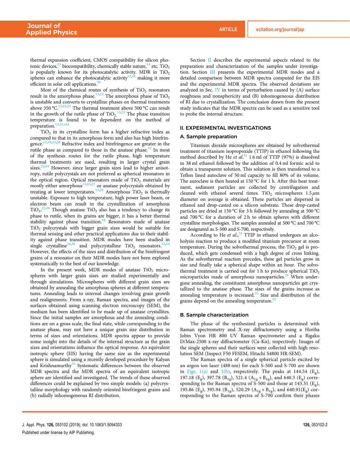thermal expansion coefficient, CMOS compatibility for silicon photonic devices,<sup>13</sup> biocompatibility, chemically stable nature,<sup>14</sup> etc. TiO<sub>2</sub> is popularly known for its photocatalytic activity. MDR in  $TiO<sub>2</sub>$ spheres can enhance the photocatalytic activity<sup>12,16</sup> making it more efficient in solar cell applications. $^{20}$ 

Most of the chemical routes of synthesis of  $TiO<sub>2</sub>$  resonators result in the amorphous phase.<sup>13,15</sup> The amorphous phase of TiO<sub>2</sub> is unstable and converts to crystalline phases on thermal treatments above 350 °C.<sup>12,13,21</sup> The thermal treatment above 500 °C can result in the growth of the rutile phase of  $\text{TiO}_2$ .<sup>13,21</sup> The phase transition temperature is found to be dependent on the method of preparation.13,21–<sup>24</sup>

 $TiO<sub>2</sub>$  in its crystalline form has a higher refractive index as compared to that in its amorphous form and also has high birefringence.<sup>13,19,25,26</sup> Refractive index and birefringence are greater in the rutile phase as compared to those in the anatase phase.<sup>19</sup> In most of the synthesis routes for the rutile phase, high temperature thermal treatments are used, resulting in larger crystal grain sizes.<sup>22,24</sup> However, since larger grain sizes lead to higher anisotropy, rutile polycrystals are not preferred as spherical resonators in the optical region. Optical resonators made of  $TiO<sub>2</sub>$  materials are mostly either amorphous<sup>13,15,27</sup> or anatase polycrystals obtained by treating at lower temperatures.<sup>12,28</sup> Amorphous  $TiO<sub>2</sub>$  is thermally unstable. Exposure to high temperature, high power laser beam, or electron beam can result in the crystallization of amorphous  $TiO<sub>2</sub>.<sup>21,29</sup>$  Though anatase TiO<sub>2</sub> also has a tendency to change its phase to rutile, when its grains are bigger, it has a better thermal stability against phase transition.<sup>24</sup> Resonators made of anatase  $TiO<sub>2</sub>$  polycrystals with bigger grain sizes would be suitable for thermal sensing and other practical applications due to their stability against phase transition. MDR modes have been studied in single crystalline<sup>26,30</sup> and polycrystalline TiO<sub>2</sub> resonators.<sup>12,16</sup> However, the effects of the sizes and distribution of the birefringent grains of a resonator on their MDR modes have not been explored systematically to the best of our knowledge.

In the present work, MDR modes of anatase  $TiO<sub>2</sub>$  microspheres with larger grain sizes are studied experimentally and through simulations. Microspheres with different grain sizes are obtained by annealing the amorphous spheres at different temperatures. Annealing leads to internal changes involving grain growth and realignments. From x-ray, Raman spectra, and images of the surfaces obtained using scanning electron microscopy (SEM), the medium has been identified to be made up of anatase crystallites. Since the initial samples are amorphous and the annealing conditions are on a gross scale, the final state, while corresponding to the anatase phase, may not have a unique grain size distribution in terms of sizes and orientations. MDR spectra appear to provide some insight into the details of the internal structure as the grain sizes and orientations influence the optical response. An equivalent isotropic sphere (EIS) having the same size as the experimental sphere is simulated using a recently developed procedure by Kalyan and Krishnamurthy<sup>16</sup> Systematic differences between the observed MDR spectra and the MDR spectra of an equivalent isotropic sphere are identified and investigated. The trends of these observed differences could be explained by two simple models: (a) polycrystalline morphology with randomly oriented birefringent grains and (b) radially inhomogeneous RI distribution.

Section II describes the experimental aspects related to the preparation and characterization of the samples under investigation. Section III presents the experimental MDR modes and a detailed comparison between MDR spectra computed for the EIS and the experimental MDR spectra. The observed deviations are analyzed in Sec. IV in terms of perturbation caused by (A) surface roughness and nonsphericity and (B) inhomogeneous distribution of RI due to crystallization. The conclusion drawn from the present study indicates that the MDR spectra can be used as a sensitive tool to probe the internal structure.

# II. EXPERIMENTAL INVESTIGATIONS

#### A. Sample preparation

Titanium dioxide microspheres are obtained by solvothermal treatment of titanium isopropoxide (TTIP) in ethanol following the method described by He et  $al.^{31}$  1.6 ml of TTIP (97%) is dissolved in 38 ml ethanol followed by the addition of 0.4 ml formic acid to obtain a transparent solution. This solution is then transferred to a Teflon lined autoclave of 50 ml capacity to fill 80% of its volume. The autoclave is then heated at 150 °C for 1 h. After this heat treatment, sediment particles are collected by centrifugation and cleaned with ethanol several times. TiO<sub>2</sub> microspheres  $1.5 \mu m$ diameter on average is obtained. These particles are dispersed in ethanol and drop-casted on a silicon substrate. These drop-casted particles are dried at 150 °C for 3 h followed by annealing at 500 °C and 700 °C for a duration of 2 h to obtain spheres with different crystalline morphologies. The samples annealed at 500 °C and 700 °C are designated as S-500 and S-700, respectively.

According to He et  $al$ ,  $31$  TTIP in ethanol undergoes an alcoholysis reaction to produce a modified titanium precursor at room temperature. During the solvothermal process, the  $TiO<sub>2</sub>$  gel is produced, which gets condensed with a high degree of cross linking. As the solvothermal reaction precedes, these gel particles grow in size and finally take a spherical shape within an hour. The solvothermal treatment is carried out for  $1 h$  to produce spherical  $TiO<sub>2</sub>$ microparticles made of amorphous nanoparticles. $31$  When undergone annealing, the constituent amorphous nanoparticles get crystallized to the anatase phase. The sizes of the grains increase as annealing temperature is increased. $22$  Size and distribution of the grains depend on the annealing temperature.<sup>32</sup>

#### B. Sample characterization

The phase of the synthesized particles is determined with Raman spectrometry and X-ray diffractometry using a Horiba Jobin Vyon HR 800 UV Raman spectrometer and a Rigaku D/Max-2500 x-ray diffractometer (Cu-Kα), respectively. Images of the single spheres and their surfaces were collected with high resolution SEM (Inspect F50 FESEM, Hitachi S4800 HR-SEM).

The Raman spectra of a single spherical particle excited by an argon ion laser (488 nm) for each S-500 and S-700 are shown in Figs.  $1(a)$  and  $1(b)$ , respectively. The peaks at 144.54  $(E_g)$ , 197.18 (E<sub>g</sub>), 397.78 (B<sub>1g</sub>), 521.4 (A<sub>1g</sub> + B<sub>1g</sub>), and 640.3 (E<sub>g</sub>) corresponding to the Raman spectra of S-500 and those at 143.31  $(E_g)$ , 195.86 (E<sub>g</sub>), 395.94 (B<sub>1g</sub>), 520.29 (A<sub>1g</sub> + B<sub>1g</sub>), and 640.91(E<sub>g</sub>) corresponding to the Raman spectra of S-700 confirm their phases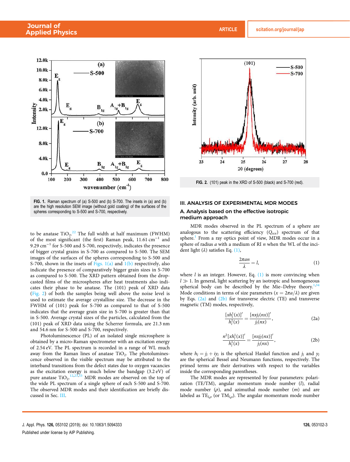

FIG. 1. Raman spectrum of (a) S-500 and (b) S-700. The insets in (a) and (b) are the high resolution SEM image (without gold coating) of the surfaces of the spheres corresponding to S-500 and S-700, respectively.

to be anatase  $\text{TiO}_2$ .<sup>22</sup> The full width at half maximum (FWHM) of the most significant (the first) Raman peak,  $11.61 \text{ cm}^{-1}$  and 9.29 cm−<sup>1</sup> for S-500 and S-700, respectively, indicates the presence of bigger crystal grains in S-700 as compared to S-500. The SEM images of the surfaces of the spheres corresponding to S-500 and S-700, shown in the insets of Figs.  $1(a)$  and  $1(b)$  respectively, also indicate the presence of comparatively bigger grain sizes in S-700 as compared to S-500. The XRD pattern obtained from the dropcasted films of the microspheres after heat treatments also indicates their phase to be anatase. The (101) peak of XRD data (Fig. 2) of both the samples being well above the noise level is used to estimate the average crystalline size. The decrease in the FWHM of (101) peak for S-700 as compared to that of S-500 indicates that the average grain size in S-700 is greater than that in S-500. Average crystal sizes of the particles, calculated from the (101) peak of XRD data using the Scherrer formula, are 21.3 nm and 54.6 nm for S-500 and S-700, respectively.

Photoluminescence (PL) of an isolated single microsphere is obtained by a micro-Raman spectrometer with an excitation energy of 2.54 eV. The PL spectrum is recorded in a range of WL much away from the Raman lines of anatase  $TiO<sub>2</sub>$ . The photoluminescence observed in the visible spectrum may be attributed to the interband transitions from the defect states due to oxygen vacancies as the excitation energy is much below the bandgap (3.2 eV) of pure anatase  $TiO<sub>2</sub>$ .  $^{12,23,33}$  MDR modes are observed on the top of the wide PL spectrum of a single sphere of each S-500 and S-700. The observed MDR modes and their identification are briefly discussed in Sec. III.



FIG. 2. (101) peak in the XRD of S-500 (black) and S-700 (red).

# III. ANALYSIS OF EXPERIMENTAL MDR MODES

# A. Analysis based on the effective isotropic medium approach

MDR modes observed in the PL spectrum of a sphere are analogous to the scattering efficiency  $(Q_{sca})$  spectrum of that sphere.<sup>1</sup> From a ray optics point of view, MDR modes occur in a sphere of radius  $a$  with a medium of RI  $n$  when the WL of the incident light  $(\lambda)$  satisfies Eq.  $(1)$ ,

$$
\frac{2\pi a n}{\lambda} = l,\tag{1}
$$

where  $l$  is an integer. However, Eq.  $(1)$  is more convincing when  $l \gg 1$ . In general, light scattering by an isotropic and homogeneous spherical body can be described by the Mie–Debye theory.<sup>1,34</sup> Mode conditions in terms of size parameters ( $x = 2\pi a/\lambda$ ) are given by Eqs.  $(2a)$  and  $(2b)$  for transverse electric (TE) and transverse magnetic (TM) modes, respectively,

$$
\frac{[xh_l^1(x)]'}{h_l^1(x)} = \frac{[nxj_l(nx)]'}{j_l(nx)},
$$
\n(2a)

$$
\frac{n^{2}[xh_{l}^{1}(x)]'}{h_{l}^{1}(x)} = \frac{[nxj_{l}(nx)]'}{j_{l}(nx)},
$$
\n(2b)

where  $h_l = j_l + i y_l$  is the spherical Hankel function and  $j_l$  and  $y_l$ are the spherical Bessel and Neumann functions, respectively. The primed terms are their derivatives with respect to the variables inside the corresponding parentheses.

The MDR modes are represented by four parameters: polarization (TE/TM), angular momentum mode number (l), radial mode number  $(\rho)$ , and azimuthal mode number  $(m)$  and are labeled as  $\mathrm{TE}_{l,\rho}$  (or  $\mathrm{TM}_{l,\rho}$ ). The angular momentum mode number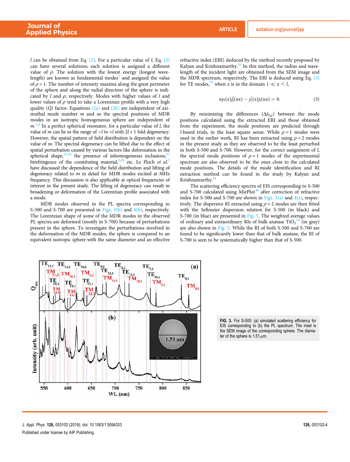l can be obtained from Eq.  $(2)$ . For a particular value of l, Eq.  $(2)$ can have several solutions; each solution is assigned a different value of  $\rho$ . The solution with the lowest energy (longest wavelength) are known as fundamental modes<sup>2</sup> and assigned the value of  $\rho = 1$ . The number of intensity maxima along the great perimeter of the sphere and along the radial direction of the sphere is indicated by l and  $\rho$ , respectively. Modes with higher values of l and lower values of  $\rho$  tend to take a Lorentzian profile with a very high quality (Q) factor. Equations  $(2a)$  and  $(2b)$  are independent of azimuthal mode number  $m$  and so the spectral positions of MDR modes in an isotropic homogeneous sphere are independent of  $m<sup>1,2</sup>$  In a perfect spherical resonator, for a particular value of *l*, the value of m can lie in the range of  $-l$  to  $+l$  with  $2l + 1$  fold degeneracy. However, the spatial pattern of field distribution is dependent on the value of  $m$ . The spectral degeneracy can be lifted due to the effect of spatial perturbation caused by various factors like deformation in the spherical shape, $35,36$  the presence of inhomogeneous inclusions,  $37$ birefringence of the constituting material, $238$  etc. Le Floch et al.<sup>2</sup> have discussed the dependence of the field distribution and lifting of degeneracy related to m in detail for MDR modes excited at MHz frequency. This discussion is also applicable at optical frequencies of interest in the present study. The lifting of degeneracy can result in broadening or deformation of the Lorentzian profile associated with a mode.

MDR modes observed in the PL spectra corresponding to S-500 and S-700 are presented in Figs.  $3(b)$  and  $4(b)$ , respectively. The Lorentzian shape of some of the MDR modes in the observed PL spectra are deformed (mostly in S-700) because of perturbations present in the sphere. To investigate the perturbations involved in the deformation of the MDR modes, the sphere is compared to an equivalent isotropic sphere with the same diameter and an effective refractive index (ERI) deduced by the method recently proposed by Kalyan and Krishnamurthy.<sup>16</sup> In this method, the radius and wavelength of the incident light are obtained from the SEM image and the MDR spectrum, respectively. The ERI is deduced using Eq. (3) for TE modes,<sup>39</sup> when x is in the domain  $1 \ll x < l$ ,

$$
nyl(x)j'l(nx) - y'l(x)jl(nx) = 0.
$$
 (3)

By minimizing the differences  $(\Delta \lambda_{l,o})$  between the mode positions calculated using the extracted ERI and those obtained from the experiment, the mode positions are predicted through *l*-based trials, in the least square sense. While  $\rho = 1$  modes were used in the earlier work, RI has been extracted using  $\rho = 2$  modes in the present study as they are observed to be the least perturbed in both S-500 and S-700. However, for the correct assignment of l, the spectral mode positions of  $\rho = 1$  modes of the experimental spectrum are also observed to be the ones close to the calculated mode positions. The details of the mode identification and RI extraction method can be found in the study by Kalyan and Krishnamurthy. $<sup>1</sup>$ </sup>

The scattering efficiency spectra of EIS corresponding to S-500 and S-700 calculated using MiePlot<sup>40</sup> after correction of refractive index for S-500 and S-700 are shown in Figs.  $3(a)$  and  $4(a)$ , respectively. The dispersive RI extracted using  $\rho = 2$  modes are then fitted with the Sellmeier dispersion relation for S-500 (in black) and S-700 (in blue) are presented in Fig. 5. The weighted average values of ordinary and extraordinary RIs of bulk anatase TiO<sub>2</sub><sup>19</sup> (in gray) are also shown in Fig. 5. While the RI of both S-500 and S-700 are found to be significantly lower than that of bulk anatase, the RI of S-700 is seen to be systematically higher than that of S-500.



FIG. 3. For S-500: (a) simulated scattering efficiency for EIS corresponding to (b) the PL spectrum. The inset is the SEM image of the corresponding sphere. The diameter of the sphere is  $1.51 \mu$ m.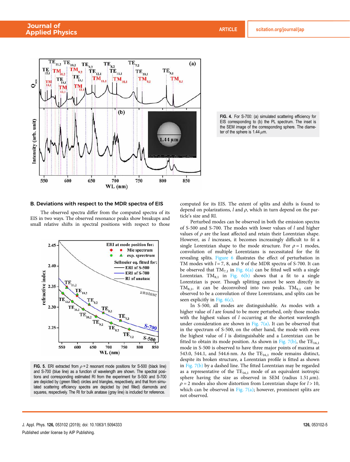

FIG. 4. For S-700: (a) simulated scattering efficiency for EIS corresponding to  $(b)$  the PL spectrum. The inset is the SEM image of the corresponding sphere. The diameter of the sphere is 1.44  $\mu$ m.

#### B. Deviations with respect to the MDR spectra of EIS

The observed spectra differ from the computed spectra of its EIS in two ways. The observed resonance peaks show breakups and small relative shifts in spectral positions with respect to those



FIG. 5. ERI extracted from  $\rho = 2$  resonant mode positions for S-500 (black line) and S-700 (blue line) as a function of wavelength are shown. The spectral positions and corresponding estimated RI from the experiment for S-500 and S-700 are depicted by (green filled) circles and triangles, respectively, and that from simulated scattering efficiency spectra are depicted by (red filled) diamonds and squares, respectively. The RI for bulk anatase (gray line) is included for reference.

computed for its EIS. The extent of splits and shifts is found to depend on polarizations,  $l$  and  $\rho$ , which in turn depend on the particle's size and RI.

Perturbed modes can be observed in both the emission spectra of S-500 and S-700. The modes with lower values of l and higher values of  $\rho$  are the least affected and retain their Lorentzian shape. However, as *l* increases, it becomes increasingly difficult to fit a single Lorentzian shape to the mode structure. For  $\rho = 1$  modes, convolution of multiple Lorentzians is necessitated for the fit revealing splits. Figure 6 illustrates the effect of perturbation in TM modes with  $l = 7$ , 8, and 9 of the MDR spectra of S-700. It can be observed that  $TM_{7,1}$  in Fig. 6(a) can be fitted well with a single Lorentzian.  $TM_{8,1}$  in Fig.  $6(b)$  shows that a fit to a single Lorentzian is poor. Though splitting cannot be seen directly in  $TM_{8,1}$ , it can be deconvolved into two peaks.  $TM_{9,1}$  can be observed to be a convolution of three Lorentzians, and splits can be seen explicitly in Fig.  $6(c)$ .

In S-500, all modes are distinguishable. As modes with a higher value of l are found to be more perturbed, only those modes with the highest values of  $l$  occurring at the shortest wavelength under consideration are shown in Fig. 7(a). It can be observed that in the spectrum of S-500, on the other hand, the mode with even the highest value of  $l$  is distinguishable and a Lorentzian can be fitted to obtain its mode position. As shown in Fig.  $7(b)$ , the TE<sub>16,1</sub> mode in S-500 is observed to have three major points of maxima at 543.0, 544.1, and 544.6 nm. As the  $TE<sub>16,1</sub>$  mode remains distinct, despite its broken structure, a Lorentzian profile is fitted as shown in Fig. 7(b) by a dashed line. The fitted Lorentzian may be regarded as a representative of the  $TE_{16,1}$  mode of an equivalent isotropic sphere having the size as observed in SEM (radius  $1.51 \mu m$ ).  $\rho = 2$  modes also show distortion from Lorentzian shape for  $l > 10$ , which can be observed in Fig.  $7(a)$ ; however, prominent splits are not observed.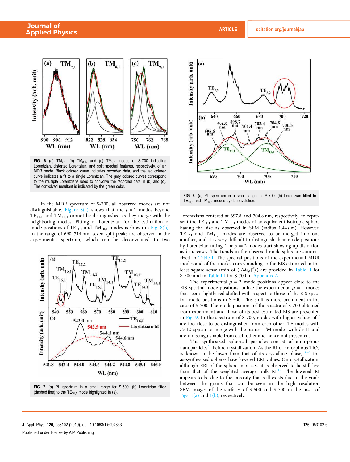

FIG. 6. (a)  $TM_{7,1}$ , (b)  $TM_{8,1}$ , and (c)  $TM_{9,1}$  modes of S-700 indicating Lorentzian, distorted Lorentzian, and split spectral features, respectively, of an MDR mode. Black colored curve indicates recorded data, and the red colored curve indicates a fit to a single Lorentzian. The gray colored curves correspond to the multiple Lorentzians used to convolve the recorded data in (b) and (c). The convolved resultant is indicated by the green color.

In the MDR spectrum of S-700, all observed modes are not distinguishable. Figure 8(a) shows that the  $\rho = 1$  modes beyond  $TE_{11,1}$  and  $TM_{10,1}$  cannot be distinguished as they merge with the neighboring modes. Fitting of Lorentzian for the estimation of mode positions of  $TE_{11,1}$  and  $TM_{10,1}$  modes is shown in Fig. 8(b). In the range of 690–714 nm, seven split peaks are observed in the experimental spectrum, which can be deconvoluted to two



FIG. 7. (a) PL spectrum in a small range for S-500. (b) Lorentzian fitted (dashed line) to the  $TE_{16,1}$  mode highlighted in (a).



FIG. 8. (a) PL spectrum in a small range for S-700. (b) Lorentzian fitted to  $TE_{11,1}$  and TM<sub>10,1</sub> modes by deconvolution.

Lorentzians centered at 697.8 and 704.8 nm, respectively, to represent the  $TE_{11,1}$  and  $TM_{10,1}$  modes of an equivalent isotropic sphere having the size as observed in SEM (radius  $1.44 \mu m$ ). However,  $TE_{12,1}$  and  $TM_{11,1}$  modes are observed to be merged into one another, and it is very difficult to distinguish their mode positions by Lorentzian fitting. The  $\rho = 2$  modes start showing up distortion as l increases. The trends in the observed mode splits are summarized in Table I. The spectral positions of the experimental MDR modes and of the modes corresponding to the EIS estimated in the least square sense (min of  $\langle (\Delta \hat{\lambda}_{l,\rho})^2 \rangle$ ) are provided in Table II for S-500 and in Table III for S-700 in Appendix A.

The experimental  $\rho = 2$  mode positions appear close to the EIS spectral mode positions, unlike the experimental  $\rho = 1$  modes that seem slightly red shifted with respect to those of the EIS spectral mode positions in S-500. This shift is more prominent in the case of S-700. The mode positions of the spectra of S-700 obtained from experiment and those of its best estimated EIS are presented in Fig. 9. In the spectrum of S-700, modes with higher values of l are too close to be distinguished from each other. TE modes with  $l > 12$  appear to merge with the nearest TM modes with  $l > 11$  and are indistinguishable from each other and hence not presented.

The synthesized spherical particles consist of amorphous nanoparticles<sup>31</sup> before crystallization. As the RI of amorphous  $TiO<sub>2</sub>$ is known to be lower than that of its crystalline phase,  $13,25$  the as-synthesized spheres have lowered ERI values. On crystallization, although ERI of the sphere increases, it is observed to be still less than that of the weighted average bulk  $RI<sup>19</sup>$  The lowered RI appears to be due to the porosity that still exists due to the voids between the grains that can be seen in the high resolution SEM images of the surfaces of S-500 and S-700 in the inset of Figs.  $1(a)$  and  $1(b)$ , respectively.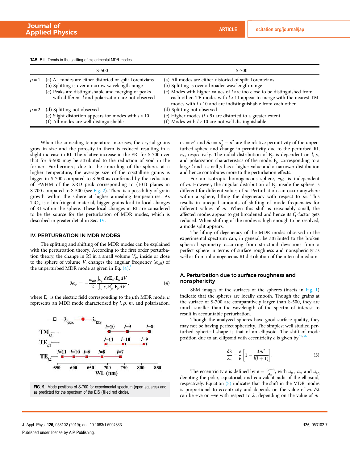TABLE I. Trends in the splitting of experimental MDR modes.

|            | $S-500$                                                                                                                                                                                                                | $S-700$                                                                                                                                                                                                                                                                                                                              |
|------------|------------------------------------------------------------------------------------------------------------------------------------------------------------------------------------------------------------------------|--------------------------------------------------------------------------------------------------------------------------------------------------------------------------------------------------------------------------------------------------------------------------------------------------------------------------------------|
| $\rho = 1$ | (a) All modes are either distorted or split Lorentzians<br>(b) Splitting is over a narrow wavelength range<br>(c) Peaks are distinguishable and merging of peaks<br>with different l and polarization are not observed | (a) All modes are either distorted of split Lorentzians<br>(b) Splitting is over a broader wavelength range<br>(c) Modes with higher values of $l$ are too close to be distinguished from<br>each other. TE modes with $l > 11$ appear to merge with the nearest TM<br>modes with $l > 10$ and are indistinguishable from each other |
| $\rho = 2$ | (d) Splitting not observed<br>(e) Slight distortion appears for modes with $l > 10$<br>(f) All modes are well distinguishable                                                                                          | (d) Splitting not observed<br>(e) Higher modes $(l>9)$ are distorted to a greater extent<br>(f) Modes with $l > 10$ are not well distinguishable                                                                                                                                                                                     |

When the annealing temperature increases, the crystal grains grow in size and the porosity in them is reduced resulting in a slight increase in RI. The relative increase in the ERI for S-700 over that for S-500 may be attributed to the reduction of void in the former. Furthermore, due to the annealing of the spheres at a higher temperature, the average size of the crystalline grains is bigger in S-700 compared to S-500 as confirmed by the reduction of FWHM of the XRD peak corresponding to (101) planes in S-700 compared to S-500 (see Fig. 2). There is a possibility of grain growth within the sphere at higher annealing temperatures. As  $\rm TiO_2$  is a birefringent material, bigger grains lead to local changes of RI within the sphere. These local changes in RI are considered to be the source for the perturbation of MDR modes, which is described in greater detail in Sec. IV.

### IV. PERTURBATION IN MDR MODES

The splitting and shifting of the MDR modes can be explained with the perturbation theory. According to the first order perturbation theory, the change in RI in a small volume  $V_p$ , inside or close to the sphere of volume V, changes the angular frequency  $(\omega_{\mu 0})$  of the unperturbed MDR mode as given in Eq.  $(4)$ ,

$$
\delta \omega_{\mu} = -\frac{\omega_{\mu 0}}{2} \frac{\int_{V_p} \delta \varepsilon \mathbf{E}_{\mu}^* \cdot \mathbf{E}_{\mu} dV}{\int_{V} \varepsilon_r \mathbf{E}_{\mu}^* \cdot \mathbf{E}_{\mu} dV},
$$
(4)

where  $\mathbf{E}_{\mu}$  is the electric field corresponding to the  $\mu$ th MDR mode.  $\mu$ represents an MDR mode characterized by  $l$ ,  $\rho$ ,  $m$ , and polarization.



FIG. 9. Mode positions of S-700 for experimental spectrum (open squares) and as predicted for the spectrum of the EIS (filled red circle).

 $\varepsilon_r = n^2$  and  $\delta \varepsilon = n_p^2 - n^2$  are the relative permittivity of the unperturbed sphere and change in permittivity due to the perturbed RI,  $n_p$ , respectively. The radial distribution of  $E_\mu$  is dependent on l,  $\rho$ , and polarization characteristics of the mode.  $E_u$  corresponding to a large  $l$  and a small  $\rho$  has a higher value and a narrower distribution and hence contributes more to the perturbation effects.

For an isotropic homogeneous sphere,  $\omega_{\mu 0}$  is independent of *m*. However, the angular distribution of  $E_u$  inside the sphere is different for different values of m. Perturbation can occur anywhere within a sphere, lifting the degeneracy with respect to  $m$ . This results in unequal amounts of shifting of mode frequencies for different values of m. When this shift is reasonably small, the affected modes appear to get broadened and hence its Q-factor gets reduced. When shifting of the modes is high enough to be resolved, a mode split appears.

The lifting of degeneracy of the MDR modes observed in the experimental spectrum can, in general, be attributed to the broken spherical symmetry occurring from structural deviations from a perfect sphere in terms of surface roughness and nonsphericity as well as from inhomogeneous RI distribution of the internal medium.

#### A. Perturbation due to surface roughness and nonsphericity

SEM images of the surfaces of the spheres (insets in Fig. 1) indicate that the spheres are locally smooth. Though the grains at the surface of S-700 are comparatively larger than S-500, they are much smaller than the wavelength of the spectra of interest to result in accountable perturbation.

Though the analyzed spheres have good surface quality, they may not be having perfect sphericity. The simplest well studied perturbed spherical shape is that of an ellipsoid. The shift of mode position due to an ellipsoid with eccentricity  $e$  is given by<sup>3</sup>

$$
\frac{\delta \lambda}{\lambda_o} = \frac{e}{6} \left[ 1 - \frac{3m^2}{l(l+1)} \right].
$$
 (5)

The eccentricity *e* is defined by  $e = \frac{a_p - a_e}{a_{eq}}$ , with  $a_p$ ,  $a_e$ , and  $a_{eq}$ are the polar, equatorial, and equivalent radii of the ellipsoid, denoting the polar, equatorial, and equivalent radii of the ellipsoid, respectively. Equation (5) indicates that the shift in the MDR modes is proportional to eccentricity and depends on the value of  $m$ .  $\delta \lambda$ can be +ve or −ve with respect to  $\lambda_0$  depending on the value of m.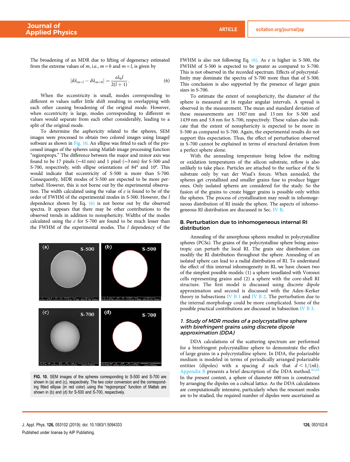The broadening of an MDR due to lifting of degeneracy estimated from the extreme values of m, i.e.,  $m = 0$  and  $m = l$ , is given by

$$
|\delta \lambda_{m=l} - \delta \lambda_{m=0}| = \frac{e \lambda_0 l}{2(l+1)}.
$$
 (6)

When the eccentricity is small, modes corresponding to different *m* values suffer little shift resulting in overlapping with each other causing broadening of the original mode. However, when eccentricity is large, modes corresponding to different  $m$ values would separate from each other considerably, leading to a split of the original mode.

To determine the asphericity related to the spheres, SEM images were processed to obtain two colored images using ImageJ software as shown in Fig. 10. An ellipse was fitted to each of the processed images of the spheres using Matlab image processing function "regionprops." The difference between the major and minor axis was found to be 17 pixels (∼41 nm) and 1 pixel (∼3 nm) for S-500 and S-700, respectively, with ellipse orientations of 84° and 10°. This would indicate that eccentricity of S-500 is more than S-700. Consequently, MDR modes of S-500 are expected to be more perturbed. However, this is not borne out by the experimental observation. The width calculated using the value of  $e$  is found to be of the order of FWHM of the experimental modes in S-500. However, the l dependence shown by Eq. (6) is not borne out by the observed spectra. It appears that there may be other contributions to the observed trends in addition to nonsphericity. Widths of the modes calculated using the  $e$  for S-700 are found to be much lesser than the FWHM of the experimental modes. The  $l$  dependency of the



FIG. 10. SEM images of the spheres corresponding to S-500 and S-700 are shown in (a) and (c), respectively. The two color conversion and the corresponding fitted ellipse (in red color) using the "regionprops" function of Matlab are shown in (b) and (d) for S-500 and S-700, respectively.

FWHM is also not following Eq.  $(6)$ . As e is higher in S-500, the FWHM of S-500 is expected to be greater as compared to S-700. This is not observed in the recorded spectrum. Effects of polycrystallinity may dominate the spectra of S-700 more than that of S-500. This conclusion is also supported by the presence of larger grain sizes in S-700.

To estimate the extent of nonsphericity, the diameter of the sphere is measured at 16 regular angular intervals. A spread is observed in the measurement. The mean and standard deviation of these measurements are 1507 nm and 15 nm for S-500 and 1439 nm and 5.8 nm for S-700, respectively. These values also indicate that the extent of nonsphericity is expected to be more in S-500 as compared to S-700. Again, the experimental results do not support this expectation. Thus, the effect of perturbation observed in S-700 cannot be explained in terms of structural deviation from a perfect sphere alone.

With the annealing temperature being below the melting or oxidation temperatures of the silicon substrate, reflow is also unlikely to take place. Particles are attached to the surface of the Si substrate only by van der Waal's forces. When annealed, the spheres get crystallized and smaller grains fuse to produce bigger ones. Only isolated spheres are considered for the study. So the fusion of the grains to create bigger grains is possible only within the spheres. The process of crystallization may result in inhomogeneous distribution of RI inside the sphere. The aspects of inhomogeneous RI distribution are discussed in Sec. IV B.

#### B. Perturbation due to inhomogeneous internal RI distribution

Annealing of the amorphous spheres resulted in polycrystalline spheres (PCSs). The grains of the polycrystalline sphere being anisotropic can perturb the local RI. The grain size distribution can modify the RI distribution throughout the sphere. Annealing of an isolated sphere can lead to a radial distribution of RI. To understand the effect of this internal inhomogeneity in RI, we have chosen two of the simplest possible models: (1) a sphere tessellated with Voronoi cells representing grains and (2) a sphere with the core-shell RI structure. The first model is discussed using discrete dipole approximation and second is discussed with the Aden-Kerker theory in Subsections IV  $B$  1 and IV  $B$  2. The perturbation due to the internal morphology could be more complicated. Some of the possible practical contributions are discussed in Subsection IV B 3.

# 1. Study of MDR modes of <sup>a</sup> polycrystalline sphere with birefringent grains using discrete dipole approximation (DDA)

DDA calculations of the scattering spectrum are performed for a birefringent polycrystalline sphere to demonstrate the effect of large grains in a polycrystalline sphere. In DDA, the polarizable medium is modeled in terms of periodically arranged polarizable entities (dipoles) with a spacing d such that  $d < 1/(nk)$ . Appendix  $\overline{B}$  presents a brief description of the DDA method.<sup>41,</sup> In the present context, a sphere of diameter 600 nm is constructed by arranging the dipoles on a cubical lattice. As the DDA calculations are computationally intensive, particularly when the resonant modes are to be studied, the required number of dipoles were ascertained as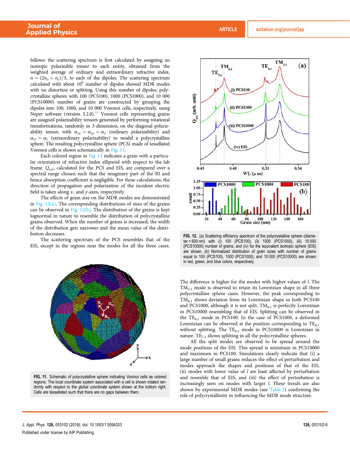follows: the scattering spectrum is first calculated by assigning an isotropic polarizable tensor to each entity, obtained from the weighted average of ordinary and extraordinary refractive index,  $n = (2n<sub>o</sub> + n<sub>e</sub>)/3$ , to each of the dipoles. The scattering spectrum calculated with about  $10^6$  number of dipoles showed MDR modes with no distortion or splitting. Using this number of dipoles, polycrystalline spheres with 100 (PCS100), 1000 (PCS1000), and 10 000 (PCS10000) number of grains are constructed by grouping the dipoles into 100, 1000, and 10 000 Voronoi cells, respectively, using Neper software (version 3.2.0). $^{43}$  Voronoi cells representing grains are assigned polarizability tensors generated by performing rotational transformations, randomly in 3-dimension, on the diagonal polarizability tensor, with  $\alpha_{xx} = \alpha_{yy} = \alpha_o$  (ordinary polarizability) and  $\alpha_{zz} = \alpha_e$  (extraordinary polarizability) to model a polycrystalline sphere. The resulting polycrystalline sphere (PCS) made of tessellated Voronoi cells is shown schematically in Fig. 11.

Each colored region in Fig. 11 indicates a grain with a particular orientation of refractive index ellipsoid with respect to the lab frame.  $Q_{sca}$ , calculated for the PCS and EIS, are compared over a spectral range chosen such that the imaginary part of the RI and hence absorption coefficient is negligible. For these calculations, the direction of propagation and polarization of the incident electric field is taken along  $x$ - and  $y$ -axes, respectively.

The effects of grain size on the MDR modes are demonstrated in Fig.  $12(a)$ . The corresponding distributions of sizes of the grains can be observed in Fig.  $12(b)$ . The distribution of the grains is kept lognormal in nature to resemble the distribution of polycrystalline grains observed. When the number of grains is increased, the width of the distribution gets narrower and the mean value of the distribution decreases.

The scattering spectrum of the PCS resembles that of the EIS, except in the regions near the modes for all the three cases.



FIG. 11. Schematic of polycrystalline sphere indicating Voronoi cells as colored regions. The local coordinate system associated with a cell is shown rotated randomly with respect to the global coordinate system shown at the bottom right. Cells are tessellated such that there are no gaps between them.



FIG. 12. (a) Scattering efficiency spectrum of the polycrystalline sphere (diameter = 600 nm) with (i) 100 (PCS100), (ii) 1000 (PCS1000), (iii) 10 000 (PCS10000) number of grains, and (iv) for the equivalent isotropic sphere (EIS) are shown. (b) Normalized distribution of grain sizes with number of grains equal to 100 (PCS100), 1000 (PCS1000), and 10 000 (PCS10000) are shown in red, green, and blue colors, respectively.

The difference is higher for the modes with higher values of l. The  $TM_{5,1}$  mode is observed to retain its Lorentzian shape in all three polycrystalline sphere cases. However, the peak corresponding to  $TM_{6,1}$  shows deviation from its Lorentzian shape in both PCS100 and PCS1000, although it is not split.  $TM_{6,1}$  is perfectly Lorentzian in PCS10000 resembling that of EIS. Splitting can be observed in the  $TE_{6,1}$  mode in PCS100. In the case of PCS1000, a deformed Lorentzian can be observed at the position corresponding to  $TE_{6,1}$ without splitting. The  $TE_{6,1}$  mode in PCS10000 is Lorentzian in nature.  $TE_{7,1}$  shows splitting in all the polycrystalline spheres.

All the split modes are observed to be spread around the mode positions of the EIS. This spread is minimum in PCS10000 and maximum in PCS100. Simulations clearly indicate that (i) a large number of small grains reduces the effect of perturbation and modes approach the shapes and positions of that of the EIS, (ii) modes with lower value of  $l$  are least affected by perturbation and resemble that of EIS, and (iii) the effect of perturbation is increasingly seen on modes with larger l. These trends are also shown by experimental MDR modes (see Table I) confirming the role of polycrystallinity in influencing the MDR mode structure.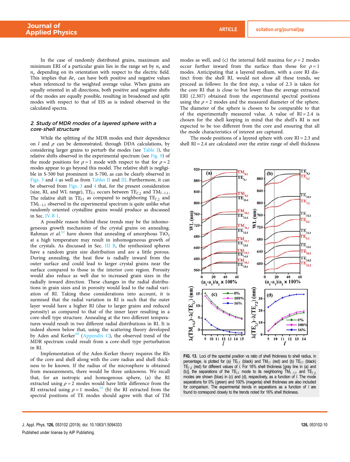In the case of randomly distributed grains, maximum and minimum ERI of a particular grain lies in the range set by  $n_e$  and  $n<sub>o</sub>$  depending on its orientation with respect to the electric field. This implies that  $\delta \varepsilon_r$  can have both positive and negative values when referenced to the weighted average value. When grains are equally oriented in all directions, both positive and negative shifts of the modes are equally possible, resulting in broadened and split modes with respect to that of EIS as is indeed observed in the calculated spectra.

# 2. Study of MDR modes of <sup>a</sup> layered sphere with <sup>a</sup> core-shell structure

While the splitting of the MDR modes and their dependence on l and  $\rho$  can be demonstrated, through DDA calculations, by considering larger grains to perturb the modes (see Table I), the relative shifts observed in the experimental spectrum (see Fig. 9) of the mode positions for  $\rho = 1$  mode with respect to that for  $\rho = 2$ modes appear to go beyond this model. The relative shift is negligible in S-500 but prominent in S-700, as can be clearly observed in Figs. 3 and 4 as well as from Tables II and III. Furthermore, it can be observed from Figs. 3 and 4 that, for the present consideration (size, RI, and WL range),  $TE_{l,1}$  occurs between  $TE_{l',2}$  and  $TM_{l-1,1}$ . The relative shift in  $TE_{l,1}$  as compared to neighboring  $TE_{l,2}$  and  $TM_{l-1,1}$  observed in the experimental spectrum is quite unlike what randomly oriented crystalline grains would produce as discussed in Sec. IV B 1.

A possible reason behind these trends may be the inhomogeneous growth mechanism of the crystal grains on annealing. Rahman et al.<sup>32</sup> have shown that annealing of amorphous  $TiO<sub>2</sub>$ at a high temperature may result in inhomogeneous growth of the crystals. As discussed in Sec. III B, the synthesized spheres have a random grain size distribution and are a little porous. During annealing, the heat flow is radially inward from the outer surface and could lead to larger crystal grains near the surface compared to those in the interior core region. Porosity would also reduce as well due to increased grain sizes in the radially inward direction. These changes in the radial distributions in grain sizes and in porosity would lead to the radial variation of RI. Taking these considerations into account, it is surmised that the radial variation in RI is such that the outer layer would have a higher RI (due to larger grains and reduced porosity) as compared to that of the inner layer resulting in a core-shell type structure. Annealing at the two different temperatures would result in two different radial distributions in RI. It is indeed shown below that, using the scattering theory developed by Aden and Kerker<sup>44</sup> (Appendix C), the observed trend of the MDR spectrum could result from a core-shell type perturbation in RI.

Implementation of the Aden-Kerker theory requires the RIs of the core and shell along with the core radius and shell thickness to be known. If the radius of the microsphere is obtained from measurements, there would be three unknowns. We recall that, for an isotropic and homogenous sphere, (a) the RI extracted using  $\rho = 2$  modes would have little difference from the RI extracted using  $\rho = 1$  modes,<sup>16</sup> (b) the RI extracted from the spectral positions of TE modes should agree with that of TM modes as well, and (c) the internal field maxima for  $\rho = 2$  modes occur further inward from the surface than those for  $\rho = 1$ modes. Anticipating that a layered medium, with a core RI distinct from the shell RI, would not show all these trends, we proceed as follows: In the first step, a value of 2.3 is taken for the core RI that is close to but lower than the average extracted ERI (2.307) obtained from the experimental spectral positions using the  $\rho = 2$  modes and the measured diameter of the sphere. The diameter of the sphere is chosen to be comparable to that of the experimentally measured value. A value of  $RI = 2.4$  is chosen for the shell keeping in mind that the shell's RI is not expected to be too different from the core and ensuring that all the mode characteristics of interest are captured.

The mode positions of a layered sphere with core  $RI = 2.3$  and shell  $RI = 2.4$  are calculated over the entire range of shell thickness



FIG. 13. Loci of the spectral position vs ratio of shell thickness to shell radius, in percentage, is plotted for (a)  $TE_{l,1}$  (black) and  $TM_{l,1}$  (red) and (b)  $TE_{l,1}$  (black)  $TE_{1/2}$  (red) for different values of *l*. For 16% shell thickness [gray line in (a) and (b)], the separations of the TE<sub>I,1</sub> mode to its neighboring TM<sub>I-1,1</sub> and TE<sub>I',2</sub> modes are shown (blue) in (c) and (d), respectively, as a function of *l*. The mode separations for 0% (green) and 100% (magenta) shell thickness are also included for comparison. The experimental trends in separations as a function of *l* are found to correspond closely to the trends noted for 16% shell thickness.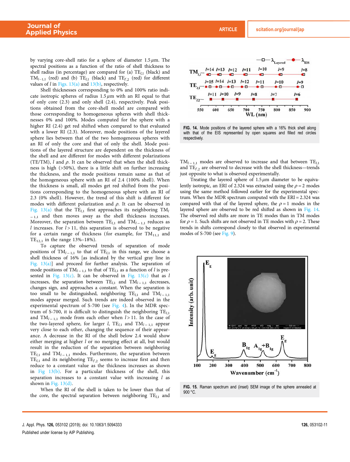by varying core-shell ratio for a sphere of diameter  $1.5 \mu m$ . The spectral positions as a function of the ratio of shell thickness to shell radius (in percentage) are compared for (a)  $TE_{l,1}$  (black) and  $TM_{l-1,1}$  (red) and (b)  $TE_{l,1}$  (black) and  $TE_{l',2}$  (red) for different values of  $l$  in Figs. 13(a) and 13(b), respectively.

Shell thicknesses corresponding to 0% and 100% ratio indicate isotropic spheres of radius  $1.5 \mu m$  with an RI equal to that of only core (2.3) and only shell (2.4), respectively. Peak positions obtained from the core-shell model are compared with those corresponding to homogeneous spheres with shell thicknesses 0% and 100%. Modes computed for the sphere with a higher RI (2.4) get red shifted when compared to that evaluated with a lower RI (2.3). Moreover, mode positions of the layered sphere lies between that of the two homogeneous spheres with an RI of only the core and that of only the shell. Mode positions of the layered structure are dependent on the thickness of the shell and are different for modes with different polarizations (TE/TM),  $l$  and  $\rho$ . It can be observed that when the shell thickness is high (>50%), there is a little shift on further increasing the thickness, and the mode positions remain same as that of the homogeneous sphere with an RI of 2.4 (100% shell). When the thickness is small, all modes get red shifted from the positions corresponding to the homogeneous sphere with an RI of 2.3 (0% shell). However, the trend of this shift is different for modes with different polarization and  $\rho$ . It can be observed in Fig. 13(a) that the  $TE_{l,1}$  first approaches its neighboring  $TM_l$  $-1,1$  and then moves away as the shell thickness increases. Moreover, the separation between  $TE_{l,1}$  and  $TM_{l-1,1}$  reduces as l increases. For  $l > 11$ , this separation is observed to be negative for a certain range of thickness (for example, for  $TM_{11,1}$  and  $TE_{12,1}$  in the range 13%–18%).

To capture the observed trends of separation of mode positions of  $TM_{l-1,1}$  to that of  $TE_{l,1}$  in this range, we choose a shell thickness of 16% [as indicated by the vertical gray line in Fig.  $13(a)$ ] and proceed for further analysis. The separation of mode positions of TM<sub>l − 1,1</sub> to that of TE<sub>l,1</sub> as a function of l is presented in Fig.  $13(c)$ . It can be observed in Fig.  $13(c)$  that as l increases, the separation between  $TE_{l1}$  and  $TM_{l-1,1}$  decreases, changes sign, and approaches a constant. When the separation is too small to be distinguished, neighboring  $TE_{l,1}$  and  $TM_{l-1,1}$ modes appear merged. Such trends are indeed observed in the experimental spectrum of  $S-700$  (see Fig. 4). In the MDR spectrum of S-700, it is difficult to distinguish the neighboring  $TE_{l,1}$ and  $TM_{l-1,1}$  mode from each other when  $l > 11$ . In the case of the two-layered sphere, for larger *l*, TE<sub>*l*,1</sub> and TM<sub>l − 1,1</sub> appear very close to each other, changing the sequence of their appearance. A decrease in the RI of the shell below 2.4 would show either merging at higher *l* or no merging effect at all, but would result in the reduction of the separation between neighboring TE<sub>l,1</sub> and TM<sub>l – 1,1</sub> modes. Furthermore, the separation between  $TE_{l,1}$  and its neighboring  $TE_{l,2}$  seems to increase first and then reduce to a constant value as the thickness increases as shown in Fig 13(b). For a particular thickness of the shell, this separation increases to a constant value with increasing  $l$  as shown in Fig.  $13(d)$ .

When the RI of the shell is taken to be lower than that of the core, the spectral separation between neighboring  $TE_{L1}$  and



FIG. 14. Mode positions of the layered sphere with a 16% thick shell along with that of the EIS represented by open squares and filled red circles respectively.

 $TM_{l-1,1}$  modes are observed to increase and that between  $TE_{l,1}$ and  $TE_{l',2}$  are observed to decrease with the shell thickness—trends just opposite to what is observed experimentally.

Treating the layered sphere of  $1.5 \mu m$  diameter to be equivalently isotropic, an ERI of 2.324 was extracted using the  $\rho = 2$  modes using the same method followed earlier for the experimental spectrum. When the MDR spectrum computed with the ERI = 2.324 was compared with that of the layered sphere, the  $\rho = 1$  modes in the layered sphere are observed to be red shifted as shown in Fig. 14. The observed red shifts are more in TE modes than in TM modes for  $\rho = 1$ . Such shifts are not observed in TE modes with  $\rho = 2$ . These trends in shifts correspond closely to that observed in experimental modes of S-700 (see Fig. 9).



FIG. 15. Raman spectrum and (inset) SEM image of the sphere annealed at 900 °C.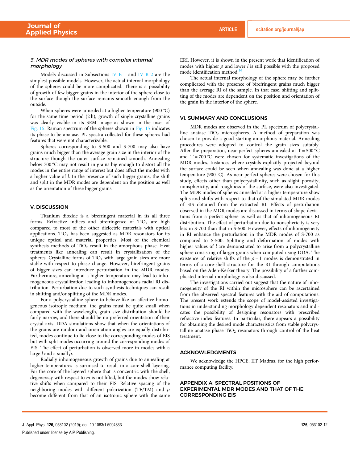## 3. MDR modes of spheres with complex internal morphology

Models discussed in Subsections IV B 1 and IV B 2 are the simplest possible models. However, the actual internal morphology of the spheres could be more complicated. There is a possibility of growth of few bigger grains in the interior of the sphere close to the surface though the surface remains smooth enough from the outside.

When spheres were annealed at a higher temperature (900 °C) for the same time period (2 h), growth of single crystalline grains was clearly visible in its SEM image as shown in the inset of Fig. 15. Raman spectrum of the spheres shown in Fig. 15 indicates its phase to be anatase. PL spectra collected for these spheres had features that were not characterizable.

Spheres corresponding to S-500 and S-700 may also have grains much bigger than the average grain size in the interior of the structure though the outer surface remained smooth. Annealing below 700 °C may not result in grains big enough to distort all the modes in the entire range of interest but does affect the modes with a higher value of  $l$ . In the presence of such bigger grains, the shift and split in the MDR modes are dependent on the position as well as the orientation of these bigger grains.

# V. DISCUSSION

Titanium dioxide is a birefringent material in its all three forms. Refractive indices and birefringence of  $TiO<sub>2</sub>$  are high compared to most of the other dielectric materials with optical applications.  $TiO<sub>2</sub>$  has been suggested as MDR resonators for its unique optical and material properties. Most of the chemical synthesis methods of  $TiO<sub>2</sub>$  result in the amorphous phase. Heat treatments like annealing can result in crystallization of the spheres. Crystalline forms of  $TiO<sub>2</sub>$  with large grain sizes are more stable with respect to phase change. However, birefringent grains of bigger sizes can introduce perturbation in the MDR modes. Furthermore, annealing at a higher temperature may lead to inhomogeneous crystallization leading to inhomogeneous radial RI distribution. Perturbation due to such synthesis techniques can result in shifting and/or splitting of the MDR modes.

For a polycrystalline sphere to behave like an affective homogeneous isotropic medium, the grains must be quite small when compared with the wavelength, grain size distribution should be fairly narrow, and there should be no preferred orientation of their crystal axis. DDA simulations show that when the orientations of the grains are random and orientation angles are equally distributed, modes continue to lie close to the corresponding modes of EIS but with split modes occurring around the corresponding modes of EIS. The effect of perturbation is observed more in modes with a large l and a small  $\rho$ .

Radially inhomogeneous growth of grains due to annealing at higher temperatures is surmised to result in a core-shell layering. For the core of the layered sphere that is concentric with the shell, degeneracy with respect to  $m$  is not lifted, but the modes show relative shifts when compared to their EIS. Relative spacing of the neighboring modes with different polarization (TE/TM) and  $\rho$ become different from that of an isotropic sphere with the same

ERI. However, it is shown in the present work that identification of modes with higher  $\rho$  and lower *l* is still possible with the proposed mode identification method.<sup>16</sup>

The actual internal morphology of the sphere may be further complicated with the presence of birefringent grains much bigger than the average RI of the sample. In that case, shifting and splitting of the modes are dependent on the position and orientation of the grain in the interior of the sphere.

# VI. SUMMARY AND CONCLUSIONS

MDR modes are observed in the PL spectrum of polycrystalline anatase  $TiO<sub>2</sub>$  microspheres. A method of preparation was chosen to provide a good starting amorphous material. Annealing procedures were adopted to control the grain sizes suitably. After the preparation, near-perfect spheres annealed at  $T = 500 °C$ and  $T = 700 \degree C$  were chosen for systematic investigations of the MDR modes. Instances where crystals explicitly projected beyond the surface could be seen when annealing was done at a higher temperature (900 °C). As near-perfect spheres were chosen for this study, effects other than polycrystallinity, such as slight porosity, nonsphericity, and roughness of the surface, were also investigated. The MDR modes of spheres annealed at a higher temperature show splits and shifts with respect to that of the simulated MDR modes of EIS obtained from the extracted RI. Effects of perturbation observed in the MDR modes are discussed in terms of shape deviations from a perfect sphere as well as that of inhomogeneous RI distribution. The effect of perturbation due to nonsphericity is very less in S-700 than that in S-500. However, effects of inhomogeneity in RI enhance the perturbation in the MDR modes of S-700 as compared to S-500. Splitting and deformation of modes with higher values of l are demonstrated to arise from a polycrystalline sphere consisting of larger grains when computed using DDA. The existence of relative shifts of the  $\rho = 1$  modes is demonstrated in terms of a core-shell structure for the RI through computations based on the Aden-Kerker theory. The possibility of a further complicated internal morphology is also discussed.

The investigations carried out suggest that the nature of inhomogeneity of the RI within the microsphere can be ascertained from the observed spectral features with the aid of computations. The present work extends the scope of model-assisted investigations in understanding morphology dependent resonators and indicates the possibility of designing resonators with prescribed refractive index features. In particular, there appears a possibility for obtaining the desired mode characteristics from stable polycrystalline anatase phase  $TiO<sub>2</sub>$  resonators through control of the heat treatment.

## ACKNOWLEDGMENTS

We acknowledge the HPCE, IIT Madras, for the high performance computing facility.

# APPENDIX A: SPECTRAL POSITIONS OF EXPERIMENTAL MDR MODES AND THAT OF THE CORRESPONDING EIS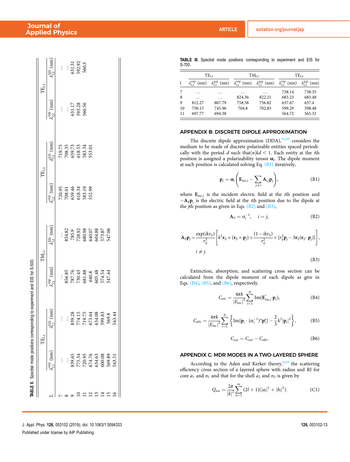| TABLE II. Spectral mode positions corresponding |                             | experiment and EIS for S-500.                                                                                                                                                                                                                                                                                                                                              |                                                                                                                                                                                                                                                                                                                                                                               |                                                          |                                                          |                                     |                                  |
|-------------------------------------------------|-----------------------------|----------------------------------------------------------------------------------------------------------------------------------------------------------------------------------------------------------------------------------------------------------------------------------------------------------------------------------------------------------------------------|-------------------------------------------------------------------------------------------------------------------------------------------------------------------------------------------------------------------------------------------------------------------------------------------------------------------------------------------------------------------------------|----------------------------------------------------------|----------------------------------------------------------|-------------------------------------|----------------------------------|
|                                                 | TE <sub>0</sub>             |                                                                                                                                                                                                                                                                                                                                                                            | $\mathrm{TM}_{l,1}$                                                                                                                                                                                                                                                                                                                                                           |                                                          | $\mathrm{TE}_{l2}$                                       |                                     | $TE_{l2}$                        |
| $\sum_{n=1}^{\infty}$<br>ភ្ជិះ                  | $\lambda_{i}^{\mathrm{HS}}$ | $\binom{mn}{n}$                                                                                                                                                                                                                                                                                                                                                            | $\mathcal{U}^{\text{HS}}_{11}~(\text{nm})$                                                                                                                                                                                                                                                                                                                                    | $\lambda_{l,2}^{\rm exp}$ (nm)                           | $\lambda_{l2}^{\mathrm{EIS}}\,\,(\mathrm{nm})$           | $\lambda_{l2}^{\rm exp}~({\rm nm})$ | $\lambda_{l2}^{\rm HS}~(\rm nm)$ |
|                                                 |                             |                                                                                                                                                                                                                                                                                                                                                                            |                                                                                                                                                                                                                                                                                                                                                                               |                                                          |                                                          |                                     |                                  |
| $\vdots$                                        | $\vdots$                    |                                                                                                                                                                                                                                                                                                                                                                            |                                                                                                                                                                                                                                                                                                                                                                               | 720.95<br>708.01<br>659.46<br>618.34<br>583.19<br>552.99 | 719.75<br>708.35<br>659.73<br>618.53<br>583.34<br>553.01 | $\frac{33.17}{593.28}$              | $\frac{31.31}{592.92}$           |
| 839.65                                          | 839.28                      |                                                                                                                                                                                                                                                                                                                                                                            |                                                                                                                                                                                                                                                                                                                                                                               |                                                          |                                                          |                                     |                                  |
|                                                 | 774.15                      |                                                                                                                                                                                                                                                                                                                                                                            |                                                                                                                                                                                                                                                                                                                                                                               |                                                          |                                                          |                                     |                                  |
| 775.34<br>720.95<br>674.76<br>634.63<br>600.08  | 719.75                      |                                                                                                                                                                                                                                                                                                                                                                            |                                                                                                                                                                                                                                                                                                                                                                               |                                                          |                                                          |                                     |                                  |
|                                                 | 673.64                      |                                                                                                                                                                                                                                                                                                                                                                            |                                                                                                                                                                                                                                                                                                                                                                               |                                                          |                                                          |                                     |                                  |
|                                                 | 634.08                      |                                                                                                                                                                                                                                                                                                                                                                            |                                                                                                                                                                                                                                                                                                                                                                               |                                                          |                                                          |                                     |                                  |
|                                                 | 599.83                      | $\begin{array}{l} \textbf{3.55} \\ \textbf{8.56.85} \\ \textbf{787.76} \\ \textbf{780.43} \\ \textbf{681.88} \\ \textbf{640.8} \\ \textbf{695.43} \\ \textbf{790.43} \\ \textbf{690.54} \\ \textbf{794.54} \\ \textbf{795.74} \\ \textbf{80} \\ \textbf{960.8} \\ \textbf{107.8} \\ \textbf{119.8} \\ \textbf{120.8} \\ \textbf{131.8} \\ \textbf{142.8} \\ \textbf{153.8$ | $\begin{array}{l} \text{9.3}\ \text{10.4}\ \text{11.5}\ \text{12.5}\ \text{13.5}\ \text{14.5}\ \text{15.5}\ \text{16.5}\ \text{17.5}\ \text{18.5}\ \text{19.5}\ \text{19.5}\ \text{19.5}\ \text{19.5}\ \text{19.5}\ \text{19.5}\ \text{19.5}\ \text{19.5}\ \text{19.5}\ \text{19.5}\ \text{19.5}\ \text{19.5}\ \text{19.5}\ \text{19.5}\ \text{19.5}\ \text{19.5}\ \text{19.$ |                                                          |                                                          |                                     |                                  |
| 569.89                                          | 569.8                       |                                                                                                                                                                                                                                                                                                                                                                            |                                                                                                                                                                                                                                                                                                                                                                               |                                                          |                                                          |                                     |                                  |
| 543.51                                          | 543.44                      |                                                                                                                                                                                                                                                                                                                                                                            |                                                                                                                                                                                                                                                                                                                                                                               |                                                          |                                                          |                                     |                                  |
|                                                 |                             |                                                                                                                                                                                                                                                                                                                                                                            |                                                                                                                                                                                                                                                                                                                                                                               |                                                          |                                                          |                                     |                                  |

TABLE III. Spectral mode positions corresponding to experiment and EIS for S-700.

|    |          | $TE_{l1}$<br>$TM_{l1}$           |                                                                   | TE <sub>I</sub> |                                  |                                  |
|----|----------|----------------------------------|-------------------------------------------------------------------|-----------------|----------------------------------|----------------------------------|
|    | (nm)     | $\lambda_{l1}^{\text{EIS}}$ (nm) | $\lambda_{l1}^{\text{exp}}$ (nm) $\lambda_{l1}^{\text{EIS}}$ (nm) |                 | $\lambda_{12}^{\text{exp}}$ (nm) | $\lambda_{12}^{\text{EIS}}$ (nm) |
|    | $\cdots$ | $\cdots$                         | $\cdots$                                                          | $\cdots$        | 738.14                           | 738.35                           |
| 8  | $\cdots$ | $\cdots$                         | 824.36                                                            | 822.21          | 683.23                           | 683.48                           |
| 9  | 812.27   | 807.79                           | 758.58                                                            | 756.82          | 637.67                           | 637.4                            |
| 10 | 750.15   | 745.96                           | 704.8                                                             | 702.83          | 599.29                           | 598.48                           |
| 11 | 697.77   | 694.38                           |                                                                   |                 | 564.72                           | 565.32                           |
|    |          |                                  |                                                                   |                 |                                  |                                  |

# APPENDIX B: DISCRETE DIPOLE APPROXIMATION

The discrete dipole approximation  $(DDA)$ ,  $41,42$  considers the medium to be made of discrete polarizable entities spaced periodically with the period d such that  $|n|kd < 1$ . Each entity at the ith position is assigned a polarizability tensor  $a_i$ . The dipole moment at each position is calculated solving Eq. (B1) iteratively,

$$
\mathbf{p}_{i} = \boldsymbol{\alpha}_{i} \Bigg( \mathbf{E}_{inc,i} - \sum_{j \neq i} \mathbf{A}_{i,j} \mathbf{p}_{j} \Bigg), \tag{B1}
$$

where  $\mathbf{E}_{inc,i}$  is the incident electric field at the *i*th position and  $-A_{ij}$ **p**<sub>j</sub> is the electric field at the *i*th position due to the dipole at the *j*th position as given in Eqs.  $(B2)$  and  $(B3)$ ,

$$
\mathbf{A}_{ii} = \alpha_i^{-1}, \quad i = j,
$$
 (B2)

$$
\mathbf{A}_{ij}\mathbf{p}_{j} = \frac{\exp(ikr_{ij})}{r_{ij}^{3}} \left[ k^{2}\mathbf{r}_{ij} \times (\mathbf{r}_{ij} \times \mathbf{p}_{j}) + \frac{(1 - ikr_{ij})}{r_{ij}^{2}} \times \{r_{ij}^{2}\mathbf{p}_{j} - 3\mathbf{r}_{ij}(\mathbf{r}_{ij} \cdot \mathbf{p}_{j})\} \right],
$$
  
\n $i \neq j.$  (B3)

Extinction, absorption, and scattering cross section can be calculated from the dipole moment of each dipole as give in Eqs. (B4), (B5), and (B6), respectively.

$$
C_{ext} = \frac{4\pi k}{|E_{inc}|^2} \sum_{i=1}^{N} \text{Im}(\mathbf{E}_{inc,i}^* \cdot \mathbf{p}_i),
$$
 (B4)

$$
C_{abs} = \frac{4\pi k}{|E_{inc}|^2} \sum_{i=1}^{N} \left\{ \text{Im}[\mathbf{p}_i \cdot (\alpha_i^{-1})^* \mathbf{p}_i^*] - \frac{2}{3} k^3 |\mathbf{p}_i|^2 \right\},\tag{B5}
$$

$$
C_{sca} = C_{ext} - C_{abs}.\tag{B6}
$$

# APPENDIX C: MDR MODES IN A TWO-LAYERED SPHERE

According to the Aden and Kerker theory,  $9,44$  the scattering efficiency cross section of a layered sphere with radius and RI for core  $a_1$  and  $n_1$  and that for the shell  $a_2$  and  $n_2$  is given by

$$
Q_{sca} = \frac{2\pi}{|k|^2} \sum_{n=1}^{\infty} (2l+1)(|a_l|^2 + |b_l|^2).
$$
 (C1)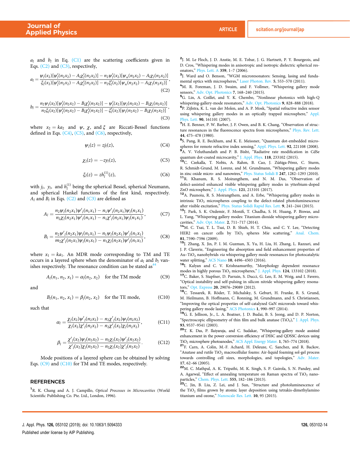$a_l$  and  $b_l$  in Eq. (C1) are the scattering coefficients given in Eqs.  $(C2)$  and  $(C3)$ , respectively,

$$
a_{l} = \frac{\psi_{l}(x_{2})[\psi'_{l}(n_{2}x_{2}) - A_{l}\chi'_{l}(n_{2}x_{2})] - n_{2}\psi'_{l}(x_{2})[\psi_{n}(n_{2}x_{2}) - A_{l}\chi_{l}(n_{2}x_{2})]}{\xi_{l}(x_{2})[\psi'_{l}(n_{2}x_{2}) - A_{l}\chi'_{l}(n_{2}x_{2})] - n_{2}\xi'_{l}(x_{2})[\psi_{n}(n_{2}x_{2}) - A_{l}\chi_{l}(n_{2}x_{2})]},
$$
\n(C2)

$$
b_l = \frac{n_2 \psi_l(x_2) [\psi'_l(n_2 x_2) - B_l \chi'_l(n_2 x_2)] - \psi'_l(x_2) [\psi_l(n_2 x_2) - B_l \chi_l(n_2 x_2)]}{n_2 \xi_l(x_2) [\psi'_l(n_2 x_2) - B_l \chi'_l(n_2 x_2)] - \xi'_l(x_2) [\psi_l(n_2 x_2) - B_l \chi_l(n_2 x_2)]},
$$
\n(C3)

where  $x_2 = ka_2$  and  $\psi$ ,  $\chi$ , and  $\xi$  are Riccati-Bessel functions defined in Eqs.  $(C4)$ ,  $(C5)$ , and  $(C6)$ , respectively,

$$
\psi_l(z) = zj_l(z),\tag{C4}
$$

$$
\chi_l(z) = -zy_l(z),\tag{C5}
$$

$$
\xi_l(z) = z h_l^{(1)}(z),\tag{C6}
$$

with  $j_l$ ,  $y_l$ , and  $h_l^{(1)}$  being the spherical Bessel, spherical Neumann, and spherical Hankel functions of the first kind, respectively.  $A_l$  and  $B_l$  in Eqs. (C2) and (C3) are defined as

$$
A_{l} = \frac{n_{2}\psi_{l}(n_{2}x_{1})\psi'_{l}(n_{1}x_{1}) - n_{1}\psi'_{l}(n_{2}x_{1})\psi_{l}(n_{1}x_{1})}{n_{2}\chi_{l}(n_{2}x_{1})\psi'_{l}(n_{1}x_{1}) - n_{1}\chi'_{l}(n_{2}x_{1})\psi_{l}(n_{1}x_{1})},
$$
(C7)

$$
B_l = \frac{n_2 \psi'_l(n_2 x_1) \psi_l(n_1 x_1) - n_1 \psi_l(n_2 x_1) \psi'_l(n_1 x_1)}{m_2 \chi'_l(n_2 x_1) \psi_l(n_1 x_1) - n_1 \chi_l(n_2 x_1) \psi'_l(n_1 x_1)},
$$
 (C8)

where  $x_1 = ka_1$ . An MDR mode corresponding to TM and TE occurs in a layered sphere when the denominator of  $a_l$  and  $b_l$  vanishes respectively. The resonance condition can be stated  $as^{44}$ 

$$
A_l(n_1, n_2, x_1) = \alpha_l(n_2, x_2) \quad \text{for the TM mode} \tag{C9}
$$

and

$$
Bl(n1, n2, x1) = \betal(n2, x2) \text{ for the TE mode, } (C10)
$$

such that

$$
\alpha_l = \frac{\chi_l(x_2)\psi'_l(n_2x_2) - n_2\chi'_l(x_2)\psi_l(n_2x_2)}{\chi_l(x_2)\chi'_l(n_2x_2) - n_2\chi'_l(x_2)\chi_l(n_2x_2)},
$$
\n(C11)

$$
\beta_l = \frac{\chi'_l(x_2)\psi_l(n_2x_2) - n_2\chi_l(x_2)\psi'_l(n_2x_2)}{\chi'_l(x_2)\chi_l(n_2x_2) - n_2\chi_l(x_2)\chi'_l(n_2x_2)}.
$$
\n(C12)

Mode positions of a layered sphere can be obtained by solving Eqs. (C9) and (C10) for TM and TE modes, respectively.

# REFERENCES

<sup>1</sup>R. K. Chang and A. J. Campillo, Optical Processes in Microcavities (World Scientific Publishing Co. Pte. Ltd., London, 1996).

2 J. M. Le Floch, J. D. Anstie, M. E. Tobar, J. G. Hartnett, P. Y. Bourgeois, and D. Cros, "Whispering modes in anisotropic and isotropic dielectric spherical resonators," Phys. Lett. A 359, 1–7 (2006).

<sup>3</sup>J. Ward and O. Benson, "WGM microresonators: Sensing, lasing and fundamental optics with microspheres," Laser Photon. Rev. 5, 553–570 (2011).

<sup>4</sup>M. R. Foreman, J. D. Swaim, and F. Vollmer, "Whispering gallery mode sensors," Adv. Opt. Photonics 7, 168–240 (2015).

<sup>5</sup>G. Lin, A. Coillet, and Y. K. Chembo, "Nonlinear photonics with high-Q whispering-gallery-mode resonators," Adv. Opt. Photonics 9, 828-888 (2018).

6 P. Zijlstra, K. L. van der Molen, and A. P. Mosk, "Spatial refractive index sensor using whispering gallery modes in an optically trapped microsphere," Appl. Phys. Lett. 90, 161101 (2007).

7H. E. Benner, P. W. Barber, J. F. Owen, and B. K. Chang, "Observation of structure resonances in the fluorescence spectra from microspheres," Phys. Rev. Lett. 44, 475–478 (1980).

<sup>8</sup>S. Pang, R. E. Beckham, and K. E. Meissner, "Quantum dot-embedded microspheres for remote refractive index sensing," Appl. Phys. Lett. 92, 221108 (2008). <sup>9</sup>A. V. Veluthandath and P. B. Bisht, "Radiative rate modification in CdSe quantum dot-coated microcavity," J. Appl. Phys. 118, 233102 (2015).

<sup>10</sup>C. Czekalla, T. Nobis, A. Rahm, B. Cao, J. Zúñiga-Pérez, C. Sturm, R. Schmidt-Grund, M. Lorenz, and M. Grundmann, "Whispering gallery modes in zinc oxide micro- and nanowires," Phys. Status Solidi B 247, 1282–1293 (2010). <sup>11</sup>R. Khanum, R. S. Moirangthem, and N. M. Das, "Observation of defect-assisted enhanced visible whispering gallery modes in ytterbium-doped ZnO microsphere," J. Appl. Phys. 121, 213101 (2017).

<sup>12</sup>A. Paunoiu, R. S. Moirangthem, and A. Erbe, "Whispering gallery modes in intrinsic TiO<sub>2</sub> microspheres coupling to the defect-related photoluminescence after visible excitation," Phys. Status Solidi Rapid Res. Lett. 9, 241–244 (2015).

<sup>13</sup>J. Park, S. K. Ozdemir, F. Monifi, T. Chadha, S. H. Huang, P. Biswas, and L. Yang, "Whispering gallery modes: Titanium dioxide whispering gallery microcavities," Adv. Opt. Mater. 2, 711–717 (2014).

<sup>14</sup>M. C. Tsai, T. L. Tsai, D. B. Shieh, H. T. Chiu, and C. Y. Lee, "Detecting HER2 on cancer cells by TiO<sub>2</sub> spheres Mie scattering," Anal. Chem. 81, 7590–7596 (2009).

<sup>15</sup>J. Zhang, X. Jin, P. I. M. Guzman, X. Yu, H. Liu, H. Zhang, L. Razzari, and J. P. Claverie, "Engineering the absorption and field enhancement properties of Au-TiO<sub>2</sub> nanohybrids *via* whispering gallery mode resonances for photocatalytic water splitting," ACS Nano 10, 4496–4503 (2016).

<sup>16</sup>I. Kalyan and C. V. Krishnamurthy, "Morphology dependent resonance modes in highly porous TiO<sub>2</sub> microspheres," J. Appl. Phys. 124, 133102 (2018).

<sup>17</sup>C. Baker, S. Stapfner, D. Parrain, S. Ducci, G. Leo, E. M. Weig, and I. Favero, "Optical instability and self-pulsing in silicon nitride whispering gallery resonators," Opt. Express 20, 29076–29089 (2012).

<sup>18</sup>C. Tessarek, R. Röder, T. Michalsky, S. Geburt, H. Franke, R. S. Grund, M. Heilmann, B. Hoffmann, C. Ronning, M. Grundmann, and S. Christiansen, "Improving the optical properties of self-catalyzed GaN microrods toward whispering gallery mode lasing," ACS Photonics 1, 990–997 (2014).

<sup>19</sup>G. E. Jellison, Jr., L. A. Boatner, J. D. Budai, B. S. Jeong, and D. P. Norton, "Spectroscopic ellipsometry of thin film and bulk anatase (TiO<sub>2</sub>)," J. Appl. Phys. 93, 9537–9541 (2003).

<sup>20</sup>T. K. Das, P. Ilaiyaraja, and C. Sudakar, "Whispering-gallery mode assisted enhancement in the power conversion efficiency of DSSC and QDSSC devices using TiO<sup>2</sup> microsphere photoanodes," ACS Appl. Energy Mater. 1, 765–774 (2018).

<sup>21</sup>F. Carn, A. Colin, M.-F. Achard, H. Deleuze, C. Sanchez, and R. Backov, "Anatase and rutile  $TiO<sub>2</sub>$  macrocellular foams: Air-liquid foaming sol-gel process towards controlling cell sizes, morphologies, and topologies," Adv. Mater. 17, 62–66 (2005).

<sup>22</sup>M. C. Mathpal, A. K. Tripathi, M. K. Singh, S. P. Gairola, S. N. Pandey, and A. Agarwal, "Effect of annealing temperature on Raman spectra of  $TiO<sub>2</sub>$  nanoparticles," Chem. Phys. Lett. 555, 182-186 (2013).

<sup>23</sup>C. Jin, B. Liu, Z. Lei, and J. Sun, "Structure and photoluminescence of the  $TiO<sub>2</sub>$  films grown by atomic layer deposition using tetrakis-dimethylamino titanium and ozone," Nanoscale Res. Lett. 10, 95 (2015).